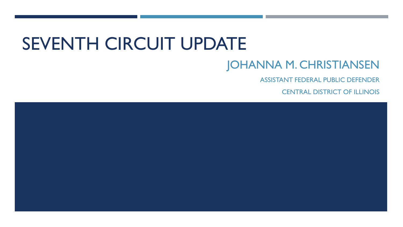# SEVENTH CIRCUIT UPDATE

#### JOHANNA M. CHRISTIANSEN

ASSISTANT FEDERAL PUBLIC DEFENDER

CENTRAL DISTRICT OF ILLINOIS

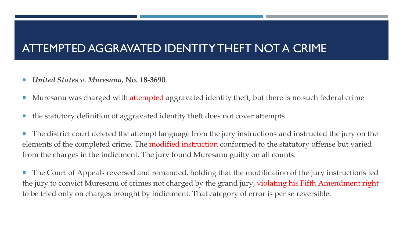#### ATTEMPTED AGGRAVATED IDENTITY THEFT NOT A CRIME

- *United States v. Muresanu,* **No. 18-3690**.
- **Muresanu was charged with attempted aggravated identity theft, but there is no such federal crime**
- the statutory definition of aggravated identity theft does not cover attempts

 The district court deleted the attempt language from the jury instructions and instructed the jury on the elements of the completed crime. The modified instruction conformed to the statutory offense but varied from the charges in the indictment. The jury found Muresanu guilty on all counts.

**The Court of Appeals reversed and remanded, holding that the modification of the jury instructions led** the jury to convict Muresanu of crimes not charged by the grand jury, violating his Fifth Amendment right to be tried only on charges brought by indictment. That category of error is per se reversible.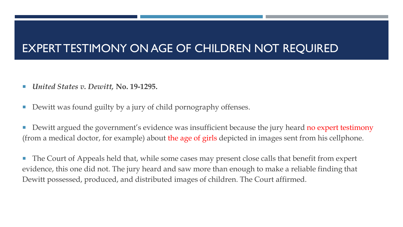#### EXPERT TESTIMONY ON AGE OF CHILDREN NOT REQUIRED

- *United States v. Dewitt,* **No. 19-1295.**
- Dewitt was found guilty by a jury of child pornography offenses.
- Dewitt argued the government's evidence was insufficient because the jury heard no expert testimony (from a medical doctor, for example) about the age of girls depicted in images sent from his cellphone.

■ The Court of Appeals held that, while some cases may present close calls that benefit from expert evidence, this one did not. The jury heard and saw more than enough to make a reliable finding that Dewitt possessed, produced, and distributed images of children. The Court affirmed.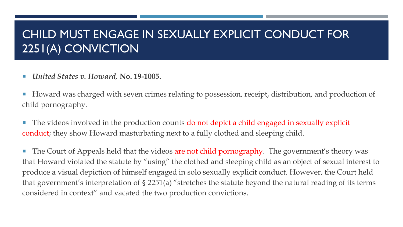### CHILD MUST ENGAGE IN SEXUALLY EXPLICIT CONDUCT FOR 2251(A) CONVICTION

- *United States v. Howard,* **No. 19-1005.**
- Howard was charged with seven crimes relating to possession, receipt, distribution, and production of child pornography.
- The videos involved in the production counts do not depict a child engaged in sexually explicit conduct; they show Howard masturbating next to a fully clothed and sleeping child.

■ The Court of Appeals held that the videos are not child pornography. The government's theory was that Howard violated the statute by "using" the clothed and sleeping child as an object of sexual interest to produce a visual depiction of himself engaged in solo sexually explicit conduct. However, the Court held that government's interpretation of § 2251(a) "stretches the statute beyond the natural reading of its terms considered in context" and vacated the two production convictions.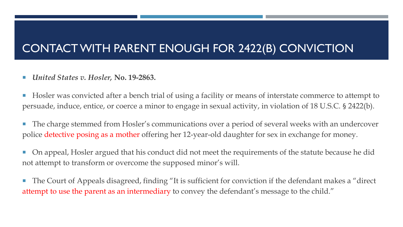### CONTACT WITH PARENT ENOUGH FOR 2422(B) CONVICTION

- *United States v. Hosler,* **No. 19-2863.**
- Hosler was convicted after a bench trial of using a facility or means of interstate commerce to attempt to persuade, induce, entice, or coerce a minor to engage in sexual activity, in violation of 18 U.S.C. § 2422(b).
- **The charge stemmed from Hosler's communications over a period of several weeks with an undercover** police detective posing as a mother offering her 12-year-old daughter for sex in exchange for money.
- On appeal, Hosler argued that his conduct did not meet the requirements of the statute because he did not attempt to transform or overcome the supposed minor's will.
- The Court of Appeals disagreed, finding "It is sufficient for conviction if the defendant makes a "direct" attempt to use the parent as an intermediary to convey the defendant's message to the child."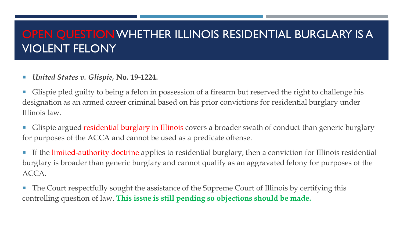#### OPEN QUESTION WHETHER ILLINOIS RESIDENTIAL BURGLARY IS A VIOLENT FELONY

- *United States v. Glispie,* **No. 19-1224.**
- Glispie pled guilty to being a felon in possession of a firearm but reserved the right to challenge his designation as an armed career criminal based on his prior convictions for residential burglary under Illinois law.
- **Glispie argued residential burglary in Illinois** covers a broader swath of conduct than generic burglary for purposes of the ACCA and cannot be used as a predicate offense.
- If the limited-authority doctrine applies to residential burglary, then a conviction for Illinois residential burglary is broader than generic burglary and cannot qualify as an aggravated felony for purposes of the ACCA.
- The Court respectfully sought the assistance of the Supreme Court of Illinois by certifying this controlling question of law. **This issue is still pending so objections should be made.**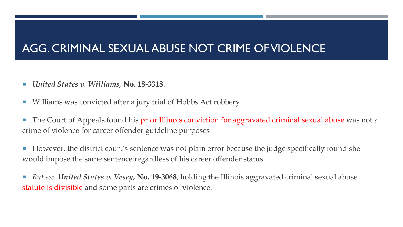#### AGG. CRIMINAL SEXUAL ABUSE NOT CRIME OF VIOLENCE

- *United States v. Williams,* **No. 18-3318.**
- Williams was convicted after a jury trial of Hobbs Act robbery.
- The Court of Appeals found his prior Illinois conviction for aggravated criminal sexual abuse was not a crime of violence for career offender guideline purposes
- However, the district court's sentence was not plain error because the judge specifically found she would impose the same sentence regardless of his career offender status.
- *But see, United States v. Vesey, No. 19-3068, holding the Illinois aggravated criminal sexual abuse* statute is divisible and some parts are crimes of violence.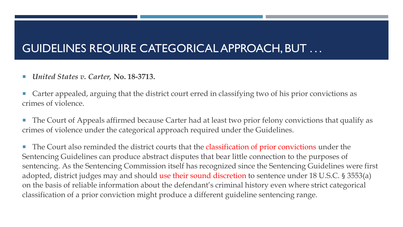#### GUIDELINES REQUIRE CATEGORICAL APPROACH, BUT . . .

*United States v. Carter,* **No. 18-3713.**

 Carter appealed, arguing that the district court erred in classifying two of his prior convictions as crimes of violence.

■ The Court of Appeals affirmed because Carter had at least two prior felony convictions that qualify as crimes of violence under the categorical approach required under the Guidelines.

■ The Court also reminded the district courts that the classification of prior convictions under the Sentencing Guidelines can produce abstract disputes that bear little connection to the purposes of sentencing. As the Sentencing Commission itself has recognized since the Sentencing Guidelines were first adopted, district judges may and should use their sound discretion to sentence under 18 U.S.C. § 3553(a) on the basis of reliable information about the defendant's criminal history even where strict categorical classification of a prior conviction might produce a different guideline sentencing range.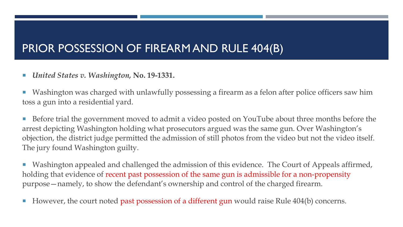#### PRIOR POSSESSION OF FIREARM AND RULE 404(B)

- *United States v. Washington,* **No. 19-1331.**
- Washington was charged with unlawfully possessing a firearm as a felon after police officers saw him toss a gun into a residential yard.
- Before trial the government moved to admit a video posted on YouTube about three months before the arrest depicting Washington holding what prosecutors argued was the same gun. Over Washington's objection, the district judge permitted the admission of still photos from the video but not the video itself. The jury found Washington guilty.
- Washington appealed and challenged the admission of this evidence. The Court of Appeals affirmed, holding that evidence of recent past possession of the same gun is admissible for a non-propensity purpose—namely, to show the defendant's ownership and control of the charged firearm.
- However, the court noted past possession of a different gun would raise Rule 404(b) concerns.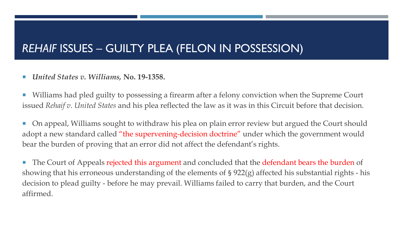#### *REHAIF* ISSUES – GUILTY PLEA (FELON IN POSSESSION)

*United States v. Williams,* **No. 19-1358.**

 Williams had pled guilty to possessing a firearm after a felony conviction when the Supreme Court issued *Rehaif v. United States* and his plea reflected the law as it was in this Circuit before that decision.

■ On appeal, Williams sought to withdraw his plea on plain error review but argued the Court should adopt a new standard called "the supervening-decision doctrine" under which the government would bear the burden of proving that an error did not affect the defendant's rights.

The Court of Appeals rejected this argument and concluded that the defendant bears the burden of showing that his erroneous understanding of the elements of § 922(g) affected his substantial rights - his decision to plead guilty - before he may prevail. Williams failed to carry that burden, and the Court affirmed.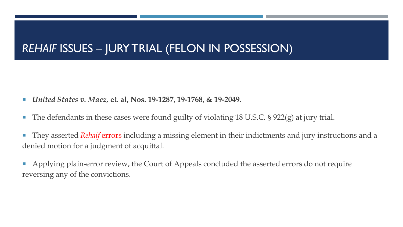#### *REHAIF* ISSUES – JURY TRIAL (FELON IN POSSESSION)

- *United States v. Maez,* **et. al, Nos. 19-1287, 19-1768, & 19-2049.**
- The defendants in these cases were found guilty of violating 18 U.S.C. § 922(g) at jury trial.
- They asserted *Rehaif* errors including a missing element in their indictments and jury instructions and a denied motion for a judgment of acquittal.
- Applying plain‐error review, the Court of Appeals concluded the asserted errors do not require reversing any of the convictions.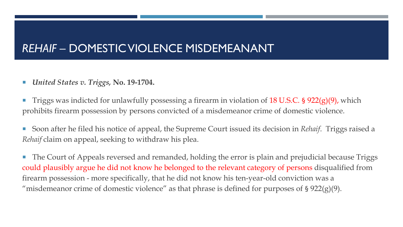#### *REHAIF* – DOMESTIC VIOLENCE MISDEMEANANT

- *United States v. Triggs,* **No. 19-1704.**
- Triggs was indicted for unlawfully possessing a firearm in violation of 18 U.S.C. § 922(g)(9), which prohibits firearm possession by persons convicted of a misdemeanor crime of domestic violence.
- Soon after he filed his notice of appeal, the Supreme Court issued its decision in *Rehaif*. Triggs raised a *Rehaif* claim on appeal, seeking to withdraw his plea.
- The Court of Appeals reversed and remanded, holding the error is plain and prejudicial because Triggs could plausibly argue he did not know he belonged to the relevant category of persons disqualified from firearm possession - more specifically, that he did not know his ten-year-old conviction was a "misdemeanor crime of domestic violence" as that phrase is defined for purposes of  $\S 922(g)(9)$ .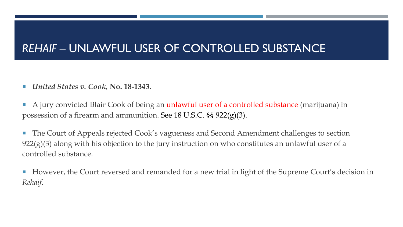### *REHAIF –* UNLAWFUL USER OF CONTROLLED SUBSTANCE

- *United States v. Cook,* **No. 18-1343.**
- A jury convicted Blair Cook of being an unlawful user of a controlled substance (marijuana) in possession of a firearm and ammunition. See 18 U.S.C. §§ 922(g)(3).
- **The Court of Appeals rejected Cook's vagueness and Second Amendment challenges to section**  $922(g)(3)$  along with his objection to the jury instruction on who constitutes an unlawful user of a controlled substance.
- However, the Court reversed and remanded for a new trial in light of the Supreme Court's decision in *Rehaif*.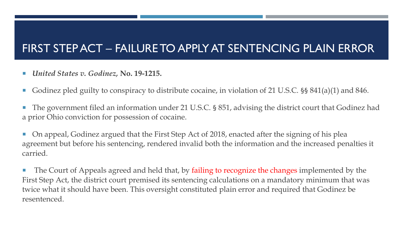### FIRST STEP ACT – FAILURE TO APPLY AT SENTENCING PLAIN ERROR

- *United States v. Godinez,* **No. 19-1215.**
- Godinez pled guilty to conspiracy to distribute cocaine, in violation of 21 U.S.C. §§ 841(a)(1) and 846.
- The government filed an information under 21 U.S.C. § 851, advising the district court that Godinez had a prior Ohio conviction for possession of cocaine.
- On appeal, Godinez argued that the First Step Act of 2018, enacted after the signing of his plea agreement but before his sentencing, rendered invalid both the information and the increased penalties it carried.
- The Court of Appeals agreed and held that, by failing to recognize the changes implemented by the First Step Act, the district court premised its sentencing calculations on a mandatory minimum that was twice what it should have been. This oversight constituted plain error and required that Godinez be resentenced.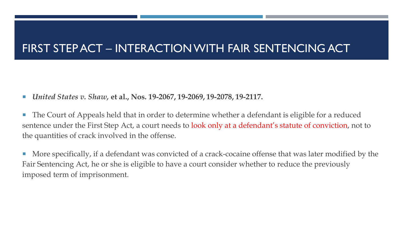#### FIRST STEP ACT – INTERACTION WITH FAIR SENTENCING ACT

- *United States v. Shaw,* **et al., Nos. 19-2067, 19-2069, 19-2078, 19-2117.**
- The Court of Appeals held that in order to determine whether a defendant is eligible for a reduced sentence under the First Step Act, a court needs to look only at a defendant's statute of conviction, not to the quantities of crack involved in the offense.
- **More specifically, if a defendant was convicted of a crack-cocaine offense that was later modified by the** Fair Sentencing Act, he or she is eligible to have a court consider whether to reduce the previously imposed term of imprisonment.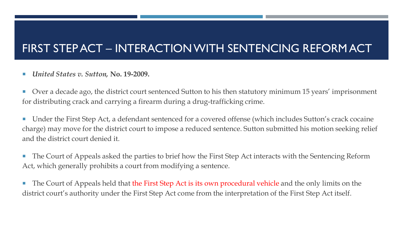### FIRST STEP ACT – INTERACTION WITH SENTENCING REFORM ACT

#### *United States v. Sutton,* **No. 19-2009.**

- Over a decade ago, the district court sentenced Sutton to his then statutory minimum 15 years' imprisonment for distributing crack and carrying a firearm during a drug-trafficking crime.
- Under the First Step Act, a defendant sentenced for a covered offense (which includes Sutton's crack cocaine charge) may move for the district court to impose a reduced sentence. Sutton submitted his motion seeking relief and the district court denied it.
- The Court of Appeals asked the parties to brief how the First Step Act interacts with the Sentencing Reform Act, which generally prohibits a court from modifying a sentence.
- The Court of Appeals held that the First Step Act is its own procedural vehicle and the only limits on the district court's authority under the First Step Act come from the interpretation of the First Step Act itself.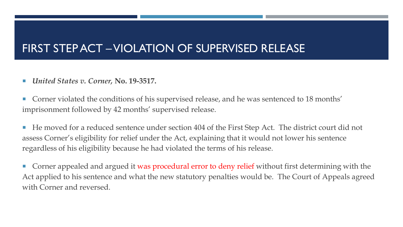#### FIRST STEP ACT –VIOLATION OF SUPERVISED RELEASE

- *United States v. Corner,* **No. 19-3517.**
- **Corner violated the conditions of his supervised release, and he was sentenced to 18 months'** imprisonment followed by 42 months' supervised release.
- He moved for a reduced sentence under section 404 of the First Step Act. The district court did not assess Corner's eligibility for relief under the Act, explaining that it would not lower his sentence regardless of his eligibility because he had violated the terms of his release.
- **Corner appealed and argued it was procedural error to deny relief** without first determining with the Act applied to his sentence and what the new statutory penalties would be. The Court of Appeals agreed with Corner and reversed.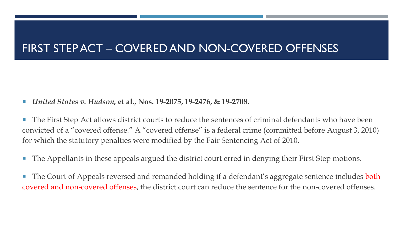#### FIRST STEP ACT – COVERED AND NON-COVERED OFFENSES

- *United States v. Hudson,* **et al., Nos. 19-2075, 19-2476, & 19-2708.**
- The First Step Act allows district courts to reduce the sentences of criminal defendants who have been convicted of a "covered offense." A "covered offense" is a federal crime (committed before August 3, 2010) for which the statutory penalties were modified by the Fair Sentencing Act of 2010.
- The Appellants in these appeals argued the district court erred in denying their First Step motions.
- The Court of Appeals reversed and remanded holding if a defendant's aggregate sentence includes both covered and non-covered offenses, the district court can reduce the sentence for the non-covered offenses.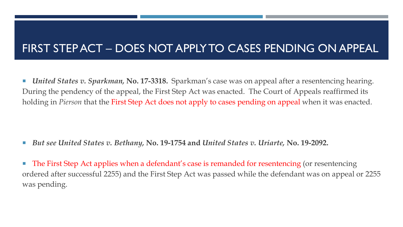#### FIRST STEP ACT – DOES NOT APPLY TO CASES PENDING ON APPEAL

■ *United States v. Sparkman,* **No. 17-3318.** Sparkman's case was on appeal after a resentencing hearing. During the pendency of the appeal, the First Step Act was enacted. The Court of Appeals reaffirmed its holding in *Pierson* that the First Step Act does not apply to cases pending on appeal when it was enacted.

*But see United States v. Bethany,* **No. 19-1754 and** *United States v. Uriarte,* **No. 19-2092.**

■ The First Step Act applies when a defendant's case is remanded for resentencing (or resentencing ordered after successful 2255) and the First Step Act was passed while the defendant was on appeal or 2255 was pending.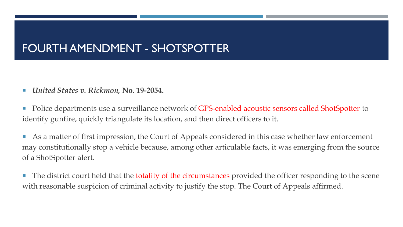### FOURTH AMENDMENT - SHOTSPOTTER

*United States v. Rickmon,* **No. 19-2054.**

**Police departments use a surveillance network of GPS-enabled acoustic sensors called ShotSpotter to** identify gunfire, quickly triangulate its location, and then direct officers to it.

 As a matter of first impression, the Court of Appeals considered in this case whether law enforcement may constitutionally stop a vehicle because, among other articulable facts, it was emerging from the source of a ShotSpotter alert.

The district court held that the totality of the circumstances provided the officer responding to the scene with reasonable suspicion of criminal activity to justify the stop. The Court of Appeals affirmed.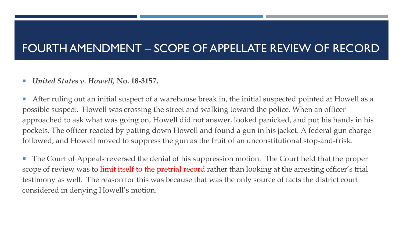#### FOURTH AMENDMENT – SCOPE OF APPELLATE REVIEW OF RECORD

#### *United States v. Howell,* **No. 18-3157.**

 After ruling out an initial suspect of a warehouse break in, the initial suspected pointed at Howell as a possible suspect. Howell was crossing the street and walking toward the police. When an officer approached to ask what was going on, Howell did not answer, looked panicked, and put his hands in his pockets. The officer reacted by patting down Howell and found a gun in his jacket. A federal gun charge followed, and Howell moved to suppress the gun as the fruit of an unconstitutional stop-and-frisk.

**The Court of Appeals reversed the denial of his suppression motion. The Court held that the proper** scope of review was to limit itself to the pretrial record rather than looking at the arresting officer's trial testimony as well. The reason for this was because that was the only source of facts the district court considered in denying Howell's motion.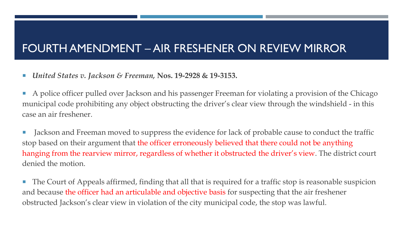#### FOURTH AMENDMENT – AIR FRESHENER ON REVIEW MIRROR

- *United States v. Jackson & Freeman,* **Nos. 19-2928 & 19-3153.**
- A police officer pulled over Jackson and his passenger Freeman for violating a provision of the Chicago municipal code prohibiting any object obstructing the driver's clear view through the windshield - in this case an air freshener.
- I Jackson and Freeman moved to suppress the evidence for lack of probable cause to conduct the traffic stop based on their argument that the officer erroneously believed that there could not be anything hanging from the rearview mirror, regardless of whether it obstructed the driver's view. The district court denied the motion.
- The Court of Appeals affirmed, finding that all that is required for a traffic stop is reasonable suspicion and because the officer had an articulable and objective basis for suspecting that the air freshener obstructed Jackson's clear view in violation of the city municipal code, the stop was lawful.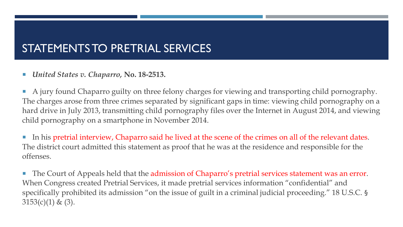#### STATEMENTS TO PRETRIAL SERVICES

#### *United States v. Chaparro,* **No. 18-2513.**

 A jury found Chaparro guilty on three felony charges for viewing and transporting child pornography. The charges arose from three crimes separated by significant gaps in time: viewing child pornography on a hard drive in July 2013, transmitting child pornography files over the Internet in August 2014, and viewing child pornography on a smartphone in November 2014.

 In his pretrial interview, Chaparro said he lived at the scene of the crimes on all of the relevant dates. The district court admitted this statement as proof that he was at the residence and responsible for the offenses.

The Court of Appeals held that the admission of Chaparro's pretrial services statement was an error. When Congress created Pretrial Services, it made pretrial services information "confidential" and specifically prohibited its admission "on the issue of guilt in a criminal judicial proceeding." 18 U.S.C. §  $3153(c)(1)$  & (3).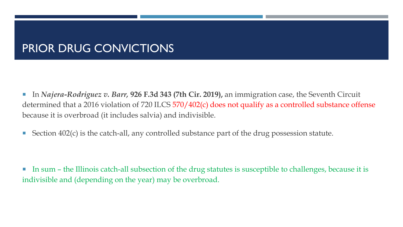- In *Najera-Rodriguez v. Barr,* 926 F.3d 343 (7th Cir. 2019), an immigration case, the Seventh Circuit determined that a 2016 violation of 720 ILCS 570/402(c) does not qualify as a controlled substance offense because it is overbroad (it includes salvia) and indivisible.
- Section  $402(c)$  is the catch-all, any controlled substance part of the drug possession statute.

 In sum – the Illinois catch-all subsection of the drug statutes is susceptible to challenges, because it is indivisible and (depending on the year) may be overbroad.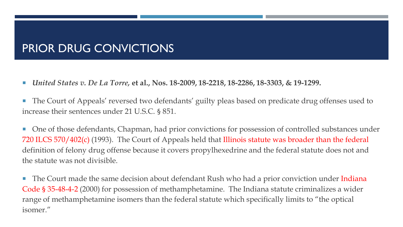- *United States v. De La Torre,* **et al., Nos. 18-2009, 18-2218, 18-2286, 18-3303, & 19-1299.**
- The Court of Appeals' reversed two defendants' guilty pleas based on predicate drug offenses used to increase their sentences under 21 U.S.C. § 851.
- One of those defendants, Chapman, had prior convictions for possession of controlled substances under 720 ILCS 570/402(c) (1993). The Court of Appeals held that Illinois statute was broader than the federal definition of felony drug offense because it covers propylhexedrine and the federal statute does not and the statute was not divisible.
- **The Court made the same decision about defendant Rush who had a prior conviction under Indiana** Code § 35-48-4-2 (2000) for possession of methamphetamine. The Indiana statute criminalizes a wider range of methamphetamine isomers than the federal statute which specifically limits to "the optical isomer."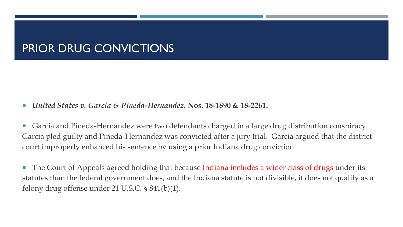- *United States v. Garcia & Pineda-Hernandez,* **Nos. 18-1890 & 18-2261.**
- Garcia and Pineda-Hernandez were two defendants charged in a large drug distribution conspiracy. Garcia pled guilty and Pineda-Hernandez was convicted after a jury trial. Garcia argued that the district court improperly enhanced his sentence by using a prior Indiana drug conviction.
- The Court of Appeals agreed holding that because Indiana includes a wider class of drugs under its statutes than the federal government does, and the Indiana statute is not divisible, it does not qualify as a felony drug offense under 21 U.S.C. § 841(b)(1).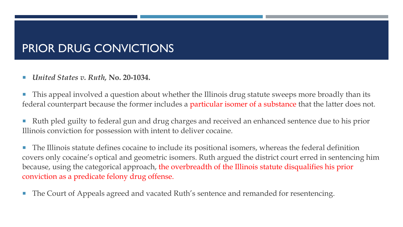*United States v. Ruth,* **No. 20-1034.**

 This appeal involved a question about whether the Illinois drug statute sweeps more broadly than its federal counterpart because the former includes a particular isomer of a substance that the latter does not.

Ruth pled guilty to federal gun and drug charges and received an enhanced sentence due to his prior Illinois conviction for possession with intent to deliver cocaine.

 The Illinois statute defines cocaine to include its positional isomers, whereas the federal definition covers only cocaine's optical and geometric isomers. Ruth argued the district court erred in sentencing him because, using the categorical approach, the overbreadth of the Illinois statute disqualifies his prior conviction as a predicate felony drug offense.

**The Court of Appeals agreed and vacated Ruth's sentence and remanded for resentencing.**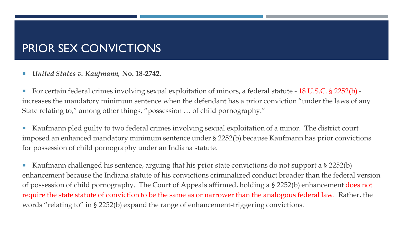#### PRIOR SEX CONVICTIONS

*United States v. Kaufmann,* **No. 18-2742.**

■ For certain federal crimes involving sexual exploitation of minors, a federal statute - 18 U.S.C. § 2252(b) increases the mandatory minimum sentence when the defendant has a prior conviction "under the laws of any State relating to," among other things, "possession … of child pornography."

 Kaufmann pled guilty to two federal crimes involving sexual exploitation of a minor. The district court imposed an enhanced mandatory minimum sentence under § 2252(b) because Kaufmann has prior convictions for possession of child pornography under an Indiana statute.

Kaufmann challenged his sentence, arguing that his prior state convictions do not support a  $\S 2252(b)$ enhancement because the Indiana statute of his convictions criminalized conduct broader than the federal version of possession of child pornography. The Court of Appeals affirmed, holding a § 2252(b) enhancement does not require the state statute of conviction to be the same as or narrower than the analogous federal law. Rather, the words "relating to" in § 2252(b) expand the range of enhancement-triggering convictions.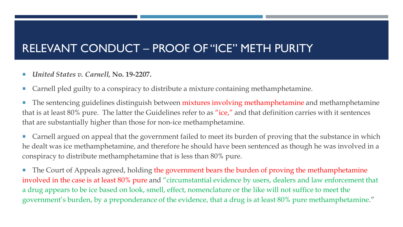#### RELEVANT CONDUCT – PROOF OF "ICE" METH PURITY

- *United States v. Carnell,* **No. 19-2207.**
- Carnell pled guilty to a conspiracy to distribute a mixture containing methamphetamine.

**The sentencing guidelines distinguish between mixtures involving methamphetamine and methamphetamine** that is at least 80% pure. The latter the Guidelines refer to as "ice," and that definition carries with it sentences that are substantially higher than those for non-ice methamphetamine.

■ Carnell argued on appeal that the government failed to meet its burden of proving that the substance in which he dealt was ice methamphetamine, and therefore he should have been sentenced as though he was involved in a conspiracy to distribute methamphetamine that is less than 80% pure.

**The Court of Appeals agreed, holding the government bears the burden of proving the methamphetamine** involved in the case is at least 80% pure and "circumstantial evidence by users, dealers and law enforcement that a drug appears to be ice based on look, smell, effect, nomenclature or the like will not suffice to meet the government's burden, by a preponderance of the evidence, that a drug is at least 80% pure methamphetamine."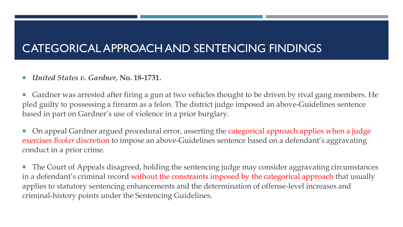#### CATEGORICAL APPROACH AND SENTENCING FINDINGS

- *United States v. Gardner,* **No. 18-1731.**
- Gardner was arrested after firing a gun at two vehicles thought to be driven by rival gang members. He pled guilty to possessing a firearm as a felon. The district judge imposed an above-Guidelines sentence based in part on Gardner's use of violence in a prior burglary.
- On appeal Gardner argued procedural error, asserting the categorical approach applies when a judge exercises *Booker* discretion to impose an above-Guidelines sentence based on a defendant's aggravating conduct in a prior crime.
- The Court of Appeals disagreed, holding the sentencing judge may consider aggravating circumstances in a defendant's criminal record without the constraints imposed by the categorical approach that usually applies to statutory sentencing enhancements and the determination of offense-level increases and criminal-history points under the Sentencing Guidelines.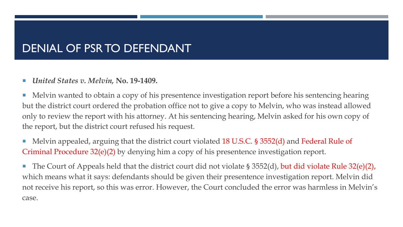#### DENIAL OF PSR TO DEFENDANT

#### *United States v. Melvin,* **No. 19-1409.**

**Melvin wanted to obtain a copy of his presentence investigation report before his sentencing hearing** but the district court ordered the probation office not to give a copy to Melvin, who was instead allowed only to review the report with his attorney. At his sentencing hearing, Melvin asked for his own copy of the report, but the district court refused his request.

■ Melvin appealed, arguing that the district court violated 18 U.S.C. § 3552(d) and Federal Rule of Criminal Procedure 32(e)(2) by denying him a copy of his presentence investigation report.

The Court of Appeals held that the district court did not violate  $\S 3552(d)$ , but did violate Rule 32(e)(2), which means what it says: defendants should be given their presentence investigation report. Melvin did not receive his report, so this was error. However, the Court concluded the error was harmless in Melvin's case.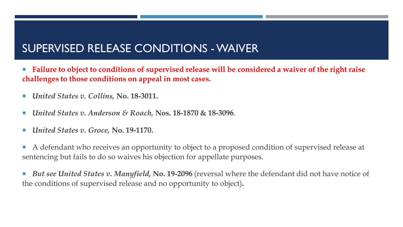#### SUPERVISED RELEASE CONDITIONS -WAIVER

- Failure to object to conditions of supervised release will be considered a waiver of the right raise **challenges to those conditions on appeal in most cases.**
- *United States v. Collins,* **No. 18-3011.**
- *United States v. Anderson & Roach,* **Nos. 18-1870 & 18-3096**.
- *United States v. Groce,* **No. 19-1170.**
- A defendant who receives an opportunity to object to a proposed condition of supervised release at sentencing but fails to do so waives his objection for appellate purposes.
- **But see United States v. Manyfield, No. 19-2096** (reversal where the defendant did not have notice of the conditions of supervised release and no opportunity to object)**.**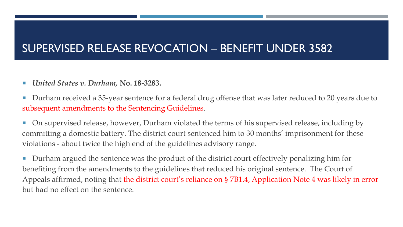#### SUPERVISED RELEASE REVOCATION – BENEFIT UNDER 3582

- *United States v. Durham,* **No. 18-3283.**
- Durham received a 35-year sentence for a federal drug offense that was later reduced to 20 years due to subsequent amendments to the Sentencing Guidelines.
- **On supervised release, however, Durham violated the terms of his supervised release, including by** committing a domestic battery. The district court sentenced him to 30 months' imprisonment for these violations - about twice the high end of the guidelines advisory range.

Durham argued the sentence was the product of the district court effectively penalizing him for benefiting from the amendments to the guidelines that reduced his original sentence. The Court of Appeals affirmed, noting that the district court's reliance on § 7B1.4, Application Note 4 was likely in error but had no effect on the sentence.